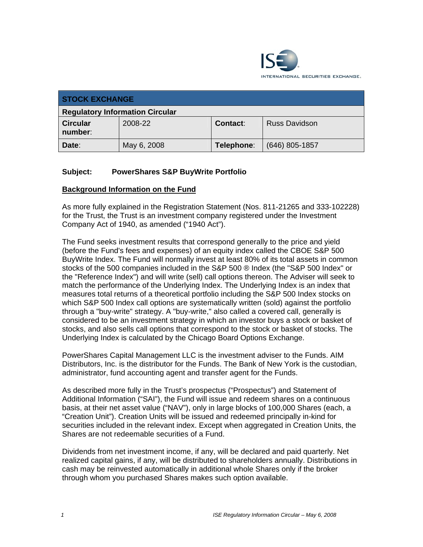

| <b>STOCK EXCHANGE</b>                  |             |            |                      |
|----------------------------------------|-------------|------------|----------------------|
| <b>Regulatory Information Circular</b> |             |            |                      |
| <b>Circular</b><br>number:             | 2008-22     | Contact:   | <b>Russ Davidson</b> |
| Date:                                  | May 6, 2008 | Telephone: | $(646)$ 805-1857     |

# **Subject: PowerShares S&P BuyWrite Portfolio**

# **Background Information on the Fund**

As more fully explained in the Registration Statement (Nos. 811-21265 and 333-102228) for the Trust, the Trust is an investment company registered under the Investment Company Act of 1940, as amended ("1940 Act").

The Fund seeks investment results that correspond generally to the price and yield (before the Fund's fees and expenses) of an equity index called the CBOE S&P 500 BuyWrite Index. The Fund will normally invest at least 80% of its total assets in common stocks of the 500 companies included in the S&P 500 ® Index (the "S&P 500 Index" or the "Reference Index") and will write (sell) call options thereon. The Adviser will seek to match the performance of the Underlying Index. The Underlying Index is an index that measures total returns of a theoretical portfolio including the S&P 500 Index stocks on which S&P 500 Index call options are systematically written (sold) against the portfolio through a "buy-write" strategy. A "buy-write," also called a covered call, generally is considered to be an investment strategy in which an investor buys a stock or basket of stocks, and also sells call options that correspond to the stock or basket of stocks. The Underlying Index is calculated by the Chicago Board Options Exchange.

PowerShares Capital Management LLC is the investment adviser to the Funds. AIM Distributors, Inc. is the distributor for the Funds. The Bank of New York is the custodian, administrator, fund accounting agent and transfer agent for the Funds.

As described more fully in the Trust's prospectus ("Prospectus") and Statement of Additional Information ("SAI"), the Fund will issue and redeem shares on a continuous basis, at their net asset value ("NAV"), only in large blocks of 100,000 Shares (each, a "Creation Unit"). Creation Units will be issued and redeemed principally in-kind for securities included in the relevant index. Except when aggregated in Creation Units, the Shares are not redeemable securities of a Fund.

Dividends from net investment income, if any, will be declared and paid quarterly. Net realized capital gains, if any, will be distributed to shareholders annually. Distributions in cash may be reinvested automatically in additional whole Shares only if the broker through whom you purchased Shares makes such option available.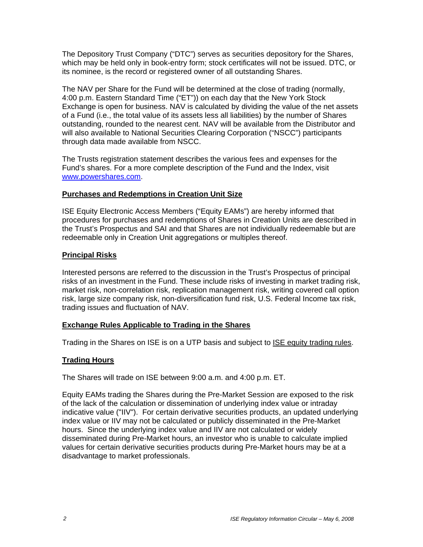The Depository Trust Company ("DTC") serves as securities depository for the Shares, which may be held only in book-entry form; stock certificates will not be issued. DTC, or its nominee, is the record or registered owner of all outstanding Shares.

The NAV per Share for the Fund will be determined at the close of trading (normally, 4:00 p.m. Eastern Standard Time ("ET")) on each day that the New York Stock Exchange is open for business. NAV is calculated by dividing the value of the net assets of a Fund (i.e., the total value of its assets less all liabilities) by the number of Shares outstanding, rounded to the nearest cent. NAV will be available from the Distributor and will also available to National Securities Clearing Corporation ("NSCC") participants through data made available from NSCC.

The Trusts registration statement describes the various fees and expenses for the Fund's shares. For a more complete description of the Fund and the Index, visit www.powershares.com.

# **Purchases and Redemptions in Creation Unit Size**

ISE Equity Electronic Access Members ("Equity EAMs") are hereby informed that procedures for purchases and redemptions of Shares in Creation Units are described in the Trust's Prospectus and SAI and that Shares are not individually redeemable but are redeemable only in Creation Unit aggregations or multiples thereof.

### **Principal Risks**

Interested persons are referred to the discussion in the Trust's Prospectus of principal risks of an investment in the Fund. These include risks of investing in market trading risk, market risk, non-correlation risk, replication management risk, writing covered call option risk, large size company risk, non-diversification fund risk, U.S. Federal Income tax risk, trading issues and fluctuation of NAV.

# **Exchange Rules Applicable to Trading in the Shares**

Trading in the Shares on ISE is on a UTP basis and subject to ISE equity trading rules.

# **Trading Hours**

The Shares will trade on ISE between 9:00 a.m. and 4:00 p.m. ET.

Equity EAMs trading the Shares during the Pre-Market Session are exposed to the risk of the lack of the calculation or dissemination of underlying index value or intraday indicative value ("IIV"). For certain derivative securities products, an updated underlying index value or IIV may not be calculated or publicly disseminated in the Pre-Market hours. Since the underlying index value and IIV are not calculated or widely disseminated during Pre-Market hours, an investor who is unable to calculate implied values for certain derivative securities products during Pre-Market hours may be at a disadvantage to market professionals.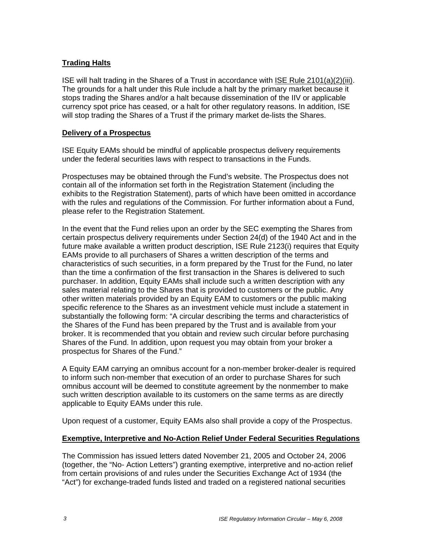# **Trading Halts**

ISE will halt trading in the Shares of a Trust in accordance with ISE Rule 2101(a)(2)(iii). The grounds for a halt under this Rule include a halt by the primary market because it stops trading the Shares and/or a halt because dissemination of the IIV or applicable currency spot price has ceased, or a halt for other regulatory reasons. In addition, ISE will stop trading the Shares of a Trust if the primary market de-lists the Shares.

# **Delivery of a Prospectus**

ISE Equity EAMs should be mindful of applicable prospectus delivery requirements under the federal securities laws with respect to transactions in the Funds.

Prospectuses may be obtained through the Fund's website. The Prospectus does not contain all of the information set forth in the Registration Statement (including the exhibits to the Registration Statement), parts of which have been omitted in accordance with the rules and regulations of the Commission. For further information about a Fund, please refer to the Registration Statement.

In the event that the Fund relies upon an order by the SEC exempting the Shares from certain prospectus delivery requirements under Section 24(d) of the 1940 Act and in the future make available a written product description, ISE Rule 2123(i) requires that Equity EAMs provide to all purchasers of Shares a written description of the terms and characteristics of such securities, in a form prepared by the Trust for the Fund, no later than the time a confirmation of the first transaction in the Shares is delivered to such purchaser. In addition, Equity EAMs shall include such a written description with any sales material relating to the Shares that is provided to customers or the public. Any other written materials provided by an Equity EAM to customers or the public making specific reference to the Shares as an investment vehicle must include a statement in substantially the following form: "A circular describing the terms and characteristics of the Shares of the Fund has been prepared by the Trust and is available from your broker. It is recommended that you obtain and review such circular before purchasing Shares of the Fund. In addition, upon request you may obtain from your broker a prospectus for Shares of the Fund."

A Equity EAM carrying an omnibus account for a non-member broker-dealer is required to inform such non-member that execution of an order to purchase Shares for such omnibus account will be deemed to constitute agreement by the nonmember to make such written description available to its customers on the same terms as are directly applicable to Equity EAMs under this rule.

Upon request of a customer, Equity EAMs also shall provide a copy of the Prospectus.

# **Exemptive, Interpretive and No-Action Relief Under Federal Securities Regulations**

The Commission has issued letters dated November 21, 2005 and October 24, 2006 (together, the "No- Action Letters") granting exemptive, interpretive and no-action relief from certain provisions of and rules under the Securities Exchange Act of 1934 (the "Act") for exchange-traded funds listed and traded on a registered national securities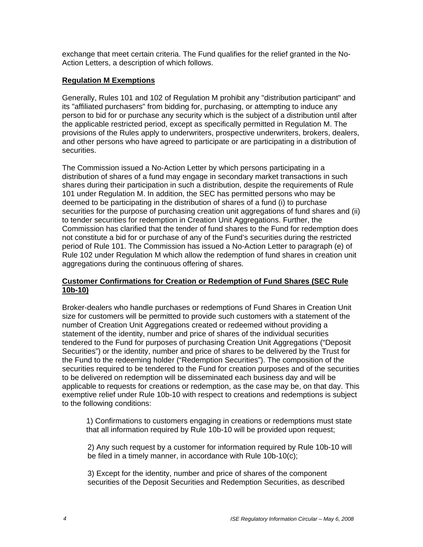exchange that meet certain criteria. The Fund qualifies for the relief granted in the No-Action Letters, a description of which follows.

# **Regulation M Exemptions**

Generally, Rules 101 and 102 of Regulation M prohibit any "distribution participant" and its "affiliated purchasers" from bidding for, purchasing, or attempting to induce any person to bid for or purchase any security which is the subject of a distribution until after the applicable restricted period, except as specifically permitted in Regulation M. The provisions of the Rules apply to underwriters, prospective underwriters, brokers, dealers, and other persons who have agreed to participate or are participating in a distribution of securities.

The Commission issued a No-Action Letter by which persons participating in a distribution of shares of a fund may engage in secondary market transactions in such shares during their participation in such a distribution, despite the requirements of Rule 101 under Regulation M. In addition, the SEC has permitted persons who may be deemed to be participating in the distribution of shares of a fund (i) to purchase securities for the purpose of purchasing creation unit aggregations of fund shares and (ii) to tender securities for redemption in Creation Unit Aggregations. Further, the Commission has clarified that the tender of fund shares to the Fund for redemption does not constitute a bid for or purchase of any of the Fund's securities during the restricted period of Rule 101. The Commission has issued a No-Action Letter to paragraph (e) of Rule 102 under Regulation M which allow the redemption of fund shares in creation unit aggregations during the continuous offering of shares.

# **Customer Confirmations for Creation or Redemption of Fund Shares (SEC Rule 10b-10)**

Broker-dealers who handle purchases or redemptions of Fund Shares in Creation Unit size for customers will be permitted to provide such customers with a statement of the number of Creation Unit Aggregations created or redeemed without providing a statement of the identity, number and price of shares of the individual securities tendered to the Fund for purposes of purchasing Creation Unit Aggregations ("Deposit Securities") or the identity, number and price of shares to be delivered by the Trust for the Fund to the redeeming holder ("Redemption Securities"). The composition of the securities required to be tendered to the Fund for creation purposes and of the securities to be delivered on redemption will be disseminated each business day and will be applicable to requests for creations or redemption, as the case may be, on that day. This exemptive relief under Rule 10b-10 with respect to creations and redemptions is subject to the following conditions:

1) Confirmations to customers engaging in creations or redemptions must state that all information required by Rule 10b-10 will be provided upon request;

2) Any such request by a customer for information required by Rule 10b-10 will be filed in a timely manner, in accordance with Rule 10b-10(c);

3) Except for the identity, number and price of shares of the component securities of the Deposit Securities and Redemption Securities, as described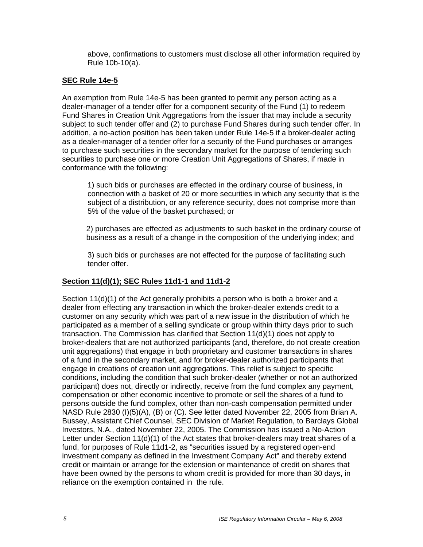above, confirmations to customers must disclose all other information required by Rule 10b-10(a).

## **SEC Rule 14e-5**

An exemption from Rule 14e-5 has been granted to permit any person acting as a dealer-manager of a tender offer for a component security of the Fund (1) to redeem Fund Shares in Creation Unit Aggregations from the issuer that may include a security subject to such tender offer and (2) to purchase Fund Shares during such tender offer. In addition, a no-action position has been taken under Rule 14e-5 if a broker-dealer acting as a dealer-manager of a tender offer for a security of the Fund purchases or arranges to purchase such securities in the secondary market for the purpose of tendering such securities to purchase one or more Creation Unit Aggregations of Shares, if made in conformance with the following:

1) such bids or purchases are effected in the ordinary course of business, in connection with a basket of 20 or more securities in which any security that is the subject of a distribution, or any reference security, does not comprise more than 5% of the value of the basket purchased; or

2) purchases are effected as adjustments to such basket in the ordinary course of business as a result of a change in the composition of the underlying index; and

3) such bids or purchases are not effected for the purpose of facilitating such tender offer.

# **Section 11(d)(1); SEC Rules 11d1-1 and 11d1-2**

Section 11(d)(1) of the Act generally prohibits a person who is both a broker and a dealer from effecting any transaction in which the broker-dealer extends credit to a customer on any security which was part of a new issue in the distribution of which he participated as a member of a selling syndicate or group within thirty days prior to such transaction. The Commission has clarified that Section 11(d)(1) does not apply to broker-dealers that are not authorized participants (and, therefore, do not create creation unit aggregations) that engage in both proprietary and customer transactions in shares of a fund in the secondary market, and for broker-dealer authorized participants that engage in creations of creation unit aggregations. This relief is subject to specific conditions, including the condition that such broker-dealer (whether or not an authorized participant) does not, directly or indirectly, receive from the fund complex any payment, compensation or other economic incentive to promote or sell the shares of a fund to persons outside the fund complex, other than non-cash compensation permitted under NASD Rule 2830 (I)(5)(A), (B) or (C). See letter dated November 22, 2005 from Brian A. Bussey, Assistant Chief Counsel, SEC Division of Market Regulation, to Barclays Global Investors, N.A., dated November 22, 2005. The Commission has issued a No-Action Letter under Section 11(d)(1) of the Act states that broker-dealers may treat shares of a fund, for purposes of Rule 11d1-2, as "securities issued by a registered open-end investment company as defined in the Investment Company Act" and thereby extend credit or maintain or arrange for the extension or maintenance of credit on shares that have been owned by the persons to whom credit is provided for more than 30 days, in reliance on the exemption contained in the rule.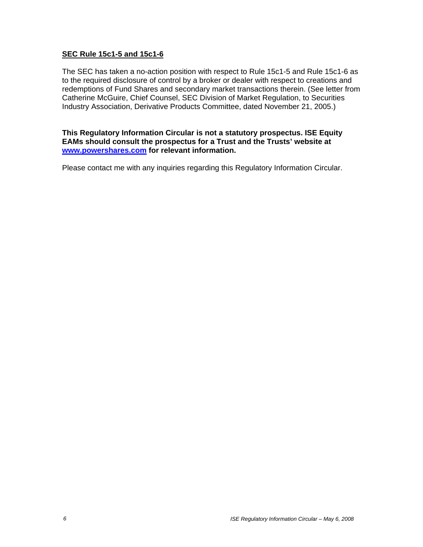## **SEC Rule 15c1-5 and 15c1-6**

The SEC has taken a no-action position with respect to Rule 15c1-5 and Rule 15c1-6 as to the required disclosure of control by a broker or dealer with respect to creations and redemptions of Fund Shares and secondary market transactions therein. (See letter from Catherine McGuire, Chief Counsel, SEC Division of Market Regulation, to Securities Industry Association, Derivative Products Committee, dated November 21, 2005.)

### **This Regulatory Information Circular is not a statutory prospectus. ISE Equity EAMs should consult the prospectus for a Trust and the Trusts' website at www.powershares.com for relevant information.**

Please contact me with any inquiries regarding this Regulatory Information Circular.